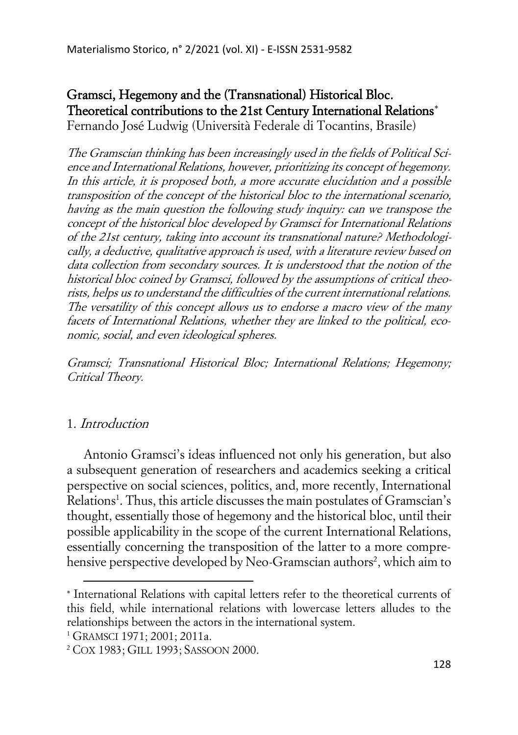# Gramsci, Hegemony and the (Transnational) Historical Bloc. Theoretical contributions to the 21st Century International Relations Fernando José Ludwig (Università Federale di Tocantins, Brasile)

The Gramscian thinking has been increasingly used in the fields of Political Science and International Relations, however, prioritizing its concept of hegemony. In this article, it is proposed both, a more accurate elucidation and a possible transposition of the concept of the historical bloc to the international scenario, having as the main question the following study inquiry: can we transpose the concept of the historical bloc developed by Gramsci for International Relations of the 21st century, taking into account its transnational nature? Methodologically, a deductive, qualitative approach is used, with a literature review based on data collection from secondary sources. It is understood that the notion of the historical bloc coined by Gramsci, followed by the assumptions of critical theorists, helps us to understand the difficulties of the current international relations. The versatility of this concept allows us to endorse a macro view of the many facets of International Relations, whether they are linked to the political, economic, social, and even ideological spheres.

Gramsci; Transnational Historical Bloc; International Relations; Hegemony; Critical Theory.

# 1. Introduction

Antonio Gramsci's ideas influenced not only his generation, but also a subsequent generation of researchers and academics seeking a critical perspective on social sciences, politics, and, more recently, International Relations<sup>1</sup>. Thus, this article discusses the main postulates of Gramscian's thought, essentially those of hegemony and the historical bloc, until their possible applicability in the scope of the current International Relations, essentially concerning the transposition of the latter to a more comprehensive perspective developed by Neo-Gramscian authors<sup>2</sup>, which aim to

<sup>\*</sup> International Relations with capital letters refer to the theoretical currents of this field, while international relations with lowercase letters alludes to the relationships between the actors in the international system.

<sup>&</sup>lt;sup>1</sup> GRAMSCI 1971; 2001; 2011a.

<sup>2</sup> COX 1983; GILL 1993; SASSOON 2000.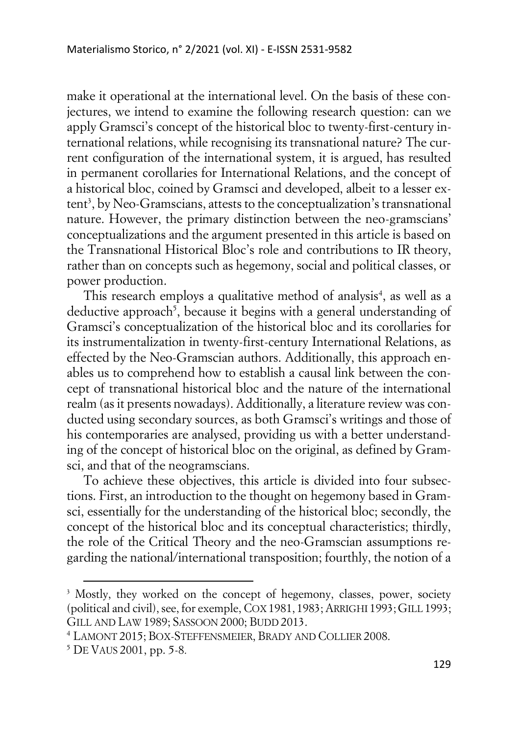make it operational at the international level. On the basis of these conjectures, we intend to examine the following research question: can we apply Gramsci's concept of the historical bloc to twenty-first-century international relations, while recognising its transnational nature? The current configuration of the international system, it is argued, has resulted in permanent corollaries for International Relations, and the concept of a historical bloc, coined by Gramsci and developed, albeit to a lesser extent<sup>3</sup>, by Neo-Gramscians, attests to the conceptualization's transnational nature. However, the primary distinction between the neo-gramscians' conceptualizations and the argument presented in this article is based on the Transnational Historical Bloc's role and contributions to IR theory, rather than on concepts such as hegemony, social and political classes, or power production.

This research employs a qualitative method of analysis<sup>4</sup>, as well as a deductive approach<sup>5</sup>, because it begins with a general understanding of Gramsci's conceptualization of the historical bloc and its corollaries for its instrumentalization in twenty-first-century International Relations, as effected by the Neo-Gramscian authors. Additionally, this approach enables us to comprehend how to establish a causal link between the concept of transnational historical bloc and the nature of the international realm (as it presents nowadays). Additionally, a literature review was conducted using secondary sources, as both Gramsci's writings and those of his contemporaries are analysed, providing us with a better understanding of the concept of historical bloc on the original, as defined by Gramsci, and that of the neogramscians.

To achieve these objectives, this article is divided into four subsections. First, an introduction to the thought on hegemony based in Gramsci, essentially for the understanding of the historical bloc; secondly, the concept of the historical bloc and its conceptual characteristics; thirdly, the role of the Critical Theory and the neo-Gramscian assumptions regarding the national/international transposition; fourthly, the notion of a

<sup>&</sup>lt;sup>3</sup> Mostly, they worked on the concept of hegemony, classes, power, society (political and civil), see, for exemple, COX 1981, 1983; ARRIGHI 1993; GILL 1993; GILL AND LAW 1989; SASSOON 2000; BUDD 2013.

<sup>4</sup> LAMONT 2015; BOX-STEFFENSMEIER, BRADY AND COLLIER 2008.

<sup>5</sup> DE VAUS 2001, pp. 5-8.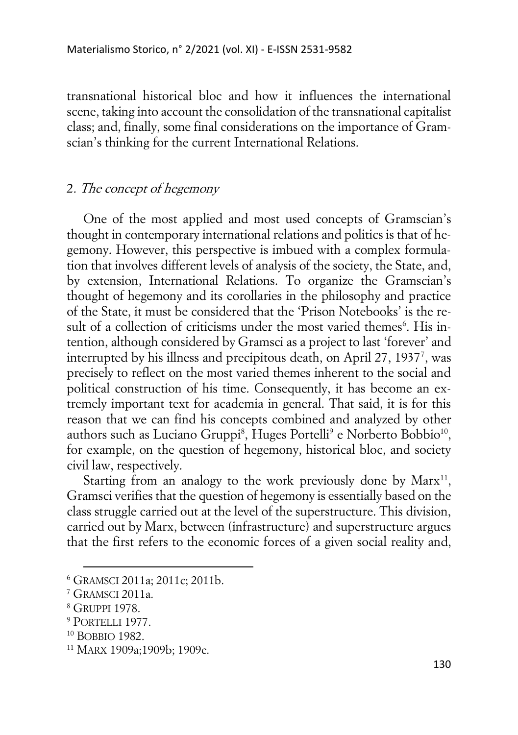transnational historical bloc and how it influences the international scene, taking into account the consolidation of the transnational capitalist class; and, finally, some final considerations on the importance of Gramscian's thinking for the current International Relations.

### 2. The concept of hegemony

One of the most applied and most used concepts of Gramscian's thought in contemporary international relations and politics is that of hegemony. However, this perspective is imbued with a complex formulation that involves different levels of analysis of the society, the State, and, by extension, International Relations. To organize the Gramscian's thought of hegemony and its corollaries in the philosophy and practice of the State, it must be considered that the 'Prison Notebooks' is the result of a collection of criticisms under the most varied themes<sup>6</sup>. His intention, although considered by Gramsci as a project to last 'forever' and interrupted by his illness and precipitous death, on April 27, 1937<sup>7</sup> , was precisely to reflect on the most varied themes inherent to the social and political construction of his time. Consequently, it has become an extremely important text for academia in general. That said, it is for this reason that we can find his concepts combined and analyzed by other authors such as Luciano Gruppi<sup>8</sup>, Huges Portelli<sup>9</sup> e Norberto Bobbio<sup>10</sup>, for example, on the question of hegemony, historical bloc, and society civil law, respectively.

Starting from an analogy to the work previously done by  $Marx<sup>11</sup>$ , Gramsci verifies that the question of hegemony is essentially based on the class struggle carried out at the level of the superstructure. This division, carried out by Marx, between (infrastructure) and superstructure argues that the first refers to the economic forces of a given social reality and,

<sup>6</sup> GRAMSCI 2011a; 2011c; 2011b.

<sup>7</sup> GRAMSCI 2011a.

<sup>8</sup> GRUPPI 1978.

<sup>9</sup> PORTELLI 1977.

<sup>10</sup> BOBBIO 1982.

<sup>11</sup> MARX 1909a;1909b; 1909c.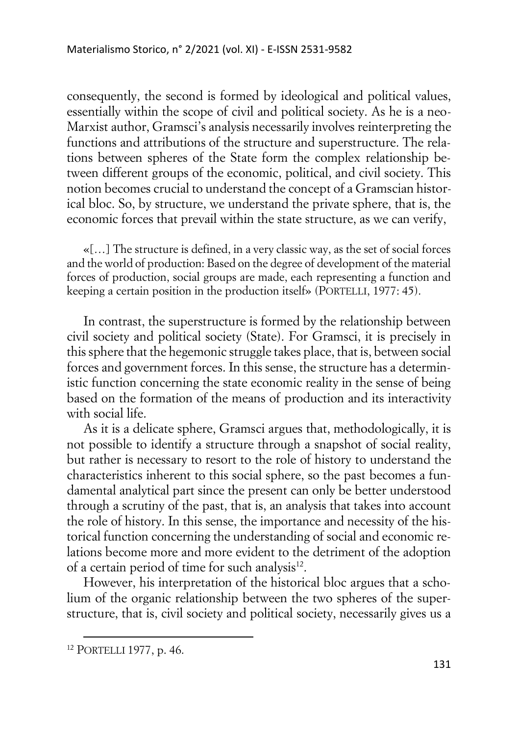consequently, the second is formed by ideological and political values, essentially within the scope of civil and political society. As he is a neo-Marxist author, Gramsci's analysis necessarily involves reinterpreting the functions and attributions of the structure and superstructure. The relations between spheres of the State form the complex relationship between different groups of the economic, political, and civil society. This notion becomes crucial to understand the concept of a Gramscian historical bloc. So, by structure, we understand the private sphere, that is, the economic forces that prevail within the state structure, as we can verify,

«[…] The structure is defined, in a very classic way, as the set of social forces and the world of production: Based on the degree of development of the material forces of production, social groups are made, each representing a function and keeping a certain position in the production itself» (PORTELLI, 1977: 45).

In contrast, the superstructure is formed by the relationship between civil society and political society (State). For Gramsci, it is precisely in this sphere that the hegemonic struggle takes place, that is, between social forces and government forces. In this sense, the structure has a deterministic function concerning the state economic reality in the sense of being based on the formation of the means of production and its interactivity with social life.

As it is a delicate sphere, Gramsci argues that, methodologically, it is not possible to identify a structure through a snapshot of social reality, but rather is necessary to resort to the role of history to understand the characteristics inherent to this social sphere, so the past becomes a fundamental analytical part since the present can only be better understood through a scrutiny of the past, that is, an analysis that takes into account the role of history. In this sense, the importance and necessity of the historical function concerning the understanding of social and economic relations become more and more evident to the detriment of the adoption of a certain period of time for such analysis<sup>12</sup>.

However, his interpretation of the historical bloc argues that a scholium of the organic relationship between the two spheres of the superstructure, that is, civil society and political society, necessarily gives us a

<sup>12</sup> PORTELLI 1977, p. 46.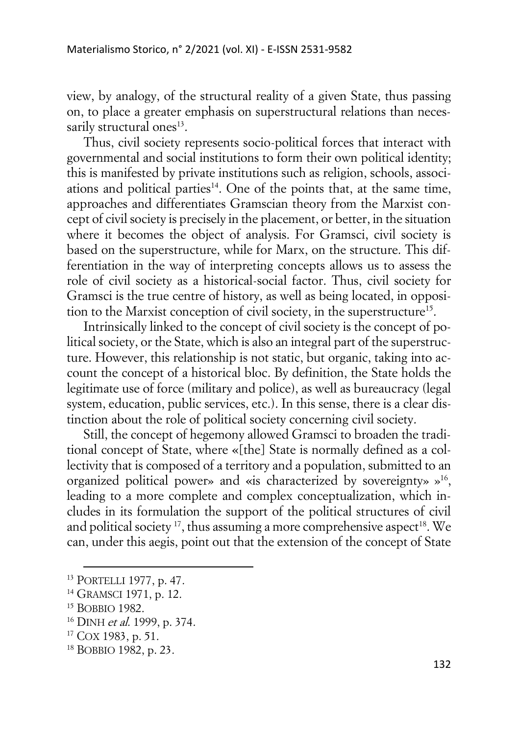view, by analogy, of the structural reality of a given State, thus passing on, to place a greater emphasis on superstructural relations than necessarily structural ones<sup>13</sup>.

Thus, civil society represents socio-political forces that interact with governmental and social institutions to form their own political identity; this is manifested by private institutions such as religion, schools, associations and political parties $14$ . One of the points that, at the same time, approaches and differentiates Gramscian theory from the Marxist concept of civil society is precisely in the placement, or better, in the situation where it becomes the object of analysis. For Gramsci, civil society is based on the superstructure, while for Marx, on the structure. This differentiation in the way of interpreting concepts allows us to assess the role of civil society as a historical-social factor. Thus, civil society for Gramsci is the true centre of history, as well as being located, in opposition to the Marxist conception of civil society, in the superstructure<sup>15</sup>.

Intrinsically linked to the concept of civil society is the concept of political society, or the State, which is also an integral part of the superstructure. However, this relationship is not static, but organic, taking into account the concept of a historical bloc. By definition, the State holds the legitimate use of force (military and police), as well as bureaucracy (legal system, education, public services, etc.). In this sense, there is a clear distinction about the role of political society concerning civil society.

Still, the concept of hegemony allowed Gramsci to broaden the traditional concept of State, where «[the] State is normally defined as a collectivity that is composed of a territory and a population, submitted to an organized political power» and «is characterized by sovereignty» »<sup>16</sup> , leading to a more complete and complex conceptualization, which includes in its formulation the support of the political structures of civil and political society<sup>17</sup>, thus assuming a more comprehensive aspect<sup>18</sup>. We can, under this aegis, point out that the extension of the concept of State

<sup>13</sup> PORTELLI 1977, p. 47.

<sup>&</sup>lt;sup>14</sup> GRAMSCI 1971, p. 12.

<sup>15</sup> BOBBIO 1982.

<sup>&</sup>lt;sup>16</sup> DINH et al. 1999, p. 374.

 $17$  COX 1983, p. 51.

<sup>18</sup> BOBBIO 1982, p. 23.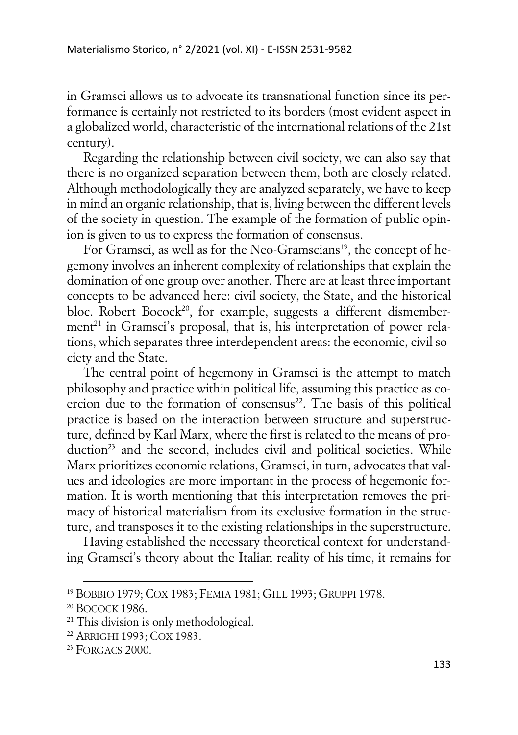in Gramsci allows us to advocate its transnational function since its performance is certainly not restricted to its borders (most evident aspect in a globalized world, characteristic of the international relations of the 21st century).

Regarding the relationship between civil society, we can also say that there is no organized separation between them, both are closely related. Although methodologically they are analyzed separately, we have to keep in mind an organic relationship, that is, living between the different levels of the society in question. The example of the formation of public opinion is given to us to express the formation of consensus.

For Gramsci, as well as for the Neo-Gramscians<sup>19</sup>, the concept of hegemony involves an inherent complexity of relationships that explain the domination of one group over another. There are at least three important concepts to be advanced here: civil society, the State, and the historical bloc. Robert Bocock<sup>20</sup>, for example, suggests a different dismemberment<sup>21</sup> in Gramsci's proposal, that is, his interpretation of power relations, which separates three interdependent areas: the economic, civil society and the State.

The central point of hegemony in Gramsci is the attempt to match philosophy and practice within political life, assuming this practice as coercion due to the formation of consensus<sup>22</sup>. The basis of this political practice is based on the interaction between structure and superstructure, defined by Karl Marx, where the first is related to the means of production<sup>23</sup> and the second, includes civil and political societies. While Marx prioritizes economic relations, Gramsci, in turn, advocates that values and ideologies are more important in the process of hegemonic formation. It is worth mentioning that this interpretation removes the primacy of historical materialism from its exclusive formation in the structure, and transposes it to the existing relationships in the superstructure.

Having established the necessary theoretical context for understanding Gramsci's theory about the Italian reality of his time, it remains for

<sup>19</sup> BOBBIO 1979; COX 1983; FEMIA 1981; GILL 1993; GRUPPI 1978.

<sup>20</sup> BOCOCK 1986.

<sup>&</sup>lt;sup>21</sup> This division is only methodological.

<sup>22</sup> ARRIGHI 1993; COX 1983.

<sup>&</sup>lt;sup>23</sup> FORGACS 2000.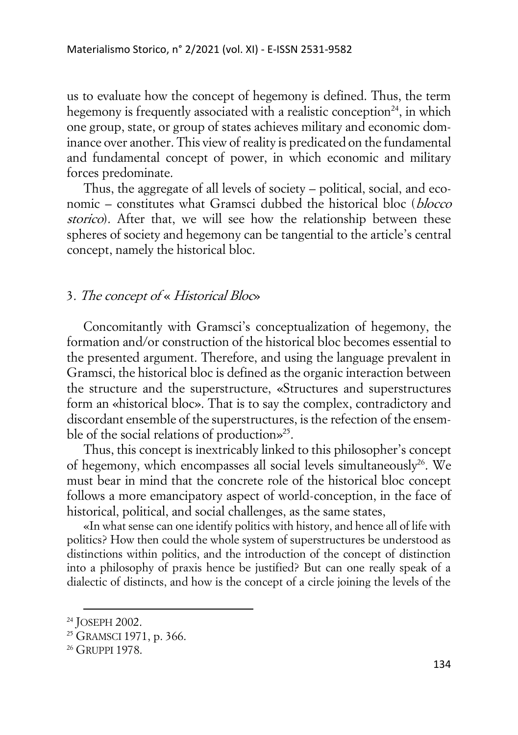us to evaluate how the concept of hegemony is defined. Thus, the term hegemony is frequently associated with a realistic conception<sup>24</sup>, in which one group, state, or group of states achieves military and economic dominance over another. This view of reality is predicated on the fundamental and fundamental concept of power, in which economic and military forces predominate.

Thus, the aggregate of all levels of society – political, social, and economic – constitutes what Gramsci dubbed the historical bloc (blocco storico). After that, we will see how the relationship between these spheres of society and hegemony can be tangential to the article's central concept, namely the historical bloc.

# 3. The concept of « Historical Bloc»

Concomitantly with Gramsci's conceptualization of hegemony, the formation and/or construction of the historical bloc becomes essential to the presented argument. Therefore, and using the language prevalent in Gramsci, the historical bloc is defined as the organic interaction between the structure and the superstructure, «Structures and superstructures form an «historical bloc». That is to say the complex, contradictory and discordant ensemble of the superstructures, is the refection of the ensemble of the social relations of production»<sup>25</sup>.

Thus, this concept is inextricably linked to this philosopher's concept of hegemony, which encompasses all social levels simultaneously<sup>26</sup>. We must bear in mind that the concrete role of the historical bloc concept follows a more emancipatory aspect of world-conception, in the face of historical, political, and social challenges, as the same states,

«In what sense can one identify politics with history, and hence all of life with politics? How then could the whole system of superstructures be understood as distinctions within politics, and the introduction of the concept of distinction into a philosophy of praxis hence be justified? But can one really speak of a dialectic of distincts, and how is the concept of a circle joining the levels of the

<sup>24</sup> JOSEPH 2002.

<sup>&</sup>lt;sup>25</sup> GRAMSCI 1971, p. 366.

<sup>&</sup>lt;sup>26</sup> GRUPPI 1978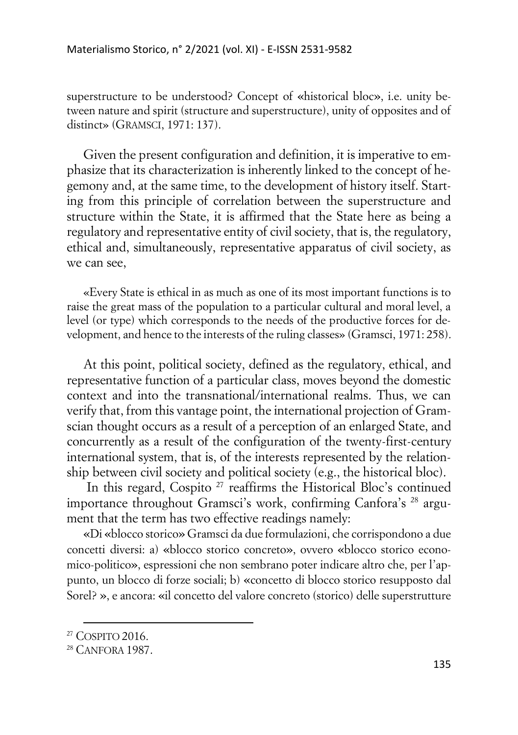superstructure to be understood? Concept of «historical bloc», i.e. unity between nature and spirit (structure and superstructure), unity of opposites and of distinct» (GRAMSCI, 1971: 137).

Given the present configuration and definition, it is imperative to emphasize that its characterization is inherently linked to the concept of hegemony and, at the same time, to the development of history itself. Starting from this principle of correlation between the superstructure and structure within the State, it is affirmed that the State here as being a regulatory and representative entity of civil society, that is, the regulatory, ethical and, simultaneously, representative apparatus of civil society, as we can see,

«Every State is ethical in as much as one of its most important functions is to raise the great mass of the population to a particular cultural and moral level, a level (or type) which corresponds to the needs of the productive forces for development, and hence to the interests of the ruling classes» (Gramsci, 1971: 258).

At this point, political society, defined as the regulatory, ethical, and representative function of a particular class, moves beyond the domestic context and into the transnational/international realms. Thus, we can verify that, from this vantage point, the international projection of Gramscian thought occurs as a result of a perception of an enlarged State, and concurrently as a result of the configuration of the twenty-first-century international system, that is, of the interests represented by the relationship between civil society and political society (e.g., the historical bloc).

In this regard, Cospito<sup>27</sup> reaffirms the Historical Bloc's continued importance throughout Gramsci's work, confirming Canfora's <sup>28</sup> argument that the term has two effective readings namely:

«Di «blocco storico» Gramsci da due formulazioni, che corrispondono a due concetti diversi: a) «blocco storico concreto», ovvero «blocco storico economico-politico», espressioni che non sembrano poter indicare altro che, per l'appunto, un blocco di forze sociali; b) «concetto di blocco storico resupposto dal Sorel? », e ancora: «il concetto del valore concreto (storico) delle superstrutture

<sup>&</sup>lt;sup>27</sup> COSPITO 2016.

<sup>28</sup> CANFORA 1987.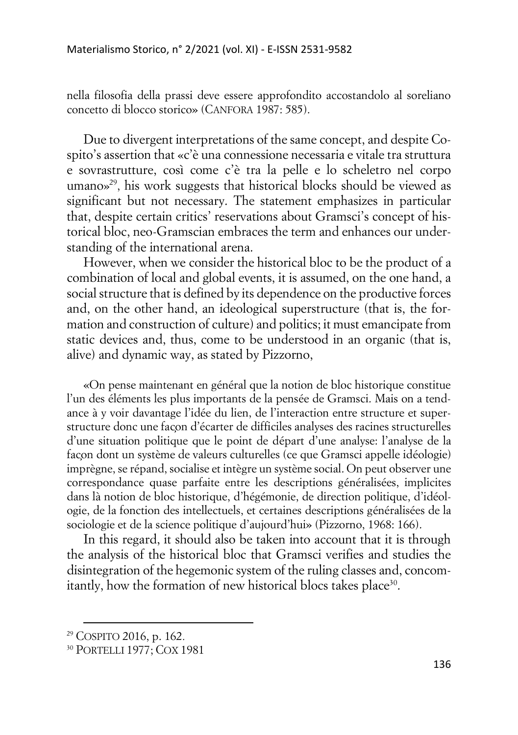nella filosofia della prassi deve essere approfondito accostandolo al soreliano concetto di blocco storico» (CANFORA 1987: 585).

Due to divergent interpretations of the same concept, and despite Cospito's assertion that «c'è una connessione necessaria e vitale tra struttura e sovrastrutture, così come c'è tra la pelle e lo scheletro nel corpo umano» 29 , his work suggests that historical blocks should be viewed as significant but not necessary. The statement emphasizes in particular that, despite certain critics' reservations about Gramsci's concept of historical bloc, neo-Gramscian embraces the term and enhances our understanding of the international arena.

However, when we consider the historical bloc to be the product of a combination of local and global events, it is assumed, on the one hand, a social structure that is defined by its dependence on the productive forces and, on the other hand, an ideological superstructure (that is, the formation and construction of culture) and politics; it must emancipate from static devices and, thus, come to be understood in an organic (that is, alive) and dynamic way, as stated by Pizzorno,

«On pense maintenant en général que la notion de bloc historique constitue l'un des éléments les plus importants de la pensée de Gramsci. Mais on a tendance à y voir davantage l'idée du lien, de l'interaction entre structure et superstructure donc une facon d'écarter de difficiles analyses des racines structurelles d'une situation politique que le point de départ d'une analyse: l'analyse de la façon dont un système de valeurs culturelles (ce que Gramsci appelle idéologie) imprègne, se répand, socialise et intègre un système social. On peut observer une correspondance quase parfaite entre les descriptions généralisées, implicites dans là notion de bloc historique, d'hégémonie, de direction politique, d'idéologie, de la fonction des intellectuels, et certaines descriptions généralisées de la sociologie et de la science politique d'aujourd'hui» (Pizzorno, 1968: 166).

In this regard, it should also be taken into account that it is through the analysis of the historical bloc that Gramsci verifies and studies the disintegration of the hegemonic system of the ruling classes and, concomitantly, how the formation of new historical blocs takes place<sup>30</sup>.

<sup>29</sup> COSPITO 2016, p. 162.

<sup>30</sup> PORTELLI 1977; COX 1981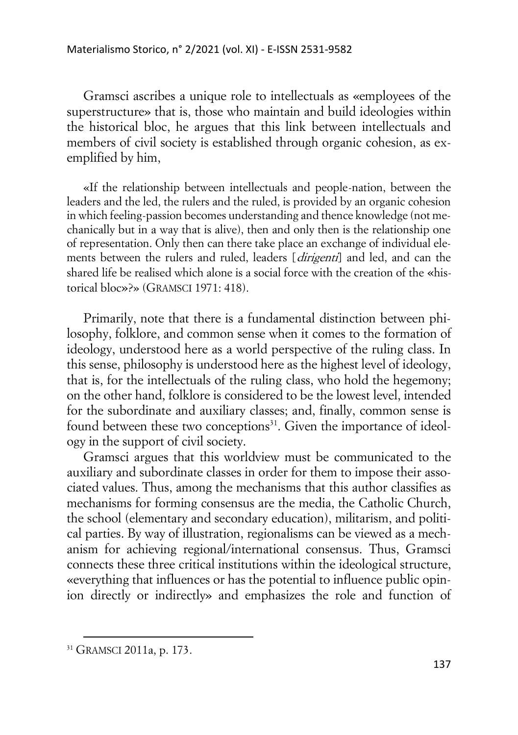Gramsci ascribes a unique role to intellectuals as «employees of the superstructure» that is, those who maintain and build ideologies within the historical bloc, he argues that this link between intellectuals and members of civil society is established through organic cohesion, as exemplified by him,

«If the relationship between intellectuals and people-nation, between the leaders and the led, the rulers and the ruled, is provided by an organic cohesion in which feeling-passion becomes understanding and thence knowledge (not mechanically but in a way that is alive), then and only then is the relationship one of representation. Only then can there take place an exchange of individual elements between the rulers and ruled, leaders [*dirigenti*] and led, and can the shared life be realised which alone is a social force with the creation of the «historical bloc»?» (GRAMSCI 1971: 418).

Primarily, note that there is a fundamental distinction between philosophy, folklore, and common sense when it comes to the formation of ideology, understood here as a world perspective of the ruling class. In this sense, philosophy is understood here as the highest level of ideology, that is, for the intellectuals of the ruling class, who hold the hegemony; on the other hand, folklore is considered to be the lowest level, intended for the subordinate and auxiliary classes; and, finally, common sense is found between these two conceptions<sup>31</sup>. Given the importance of ideology in the support of civil society.

Gramsci argues that this worldview must be communicated to the auxiliary and subordinate classes in order for them to impose their associated values. Thus, among the mechanisms that this author classifies as mechanisms for forming consensus are the media, the Catholic Church, the school (elementary and secondary education), militarism, and political parties. By way of illustration, regionalisms can be viewed as a mechanism for achieving regional/international consensus. Thus, Gramsci connects these three critical institutions within the ideological structure, «everything that influences or has the potential to influence public opinion directly or indirectly» and emphasizes the role and function of

<sup>&</sup>lt;sup>31</sup> GRAMSCI 2011a, p. 173.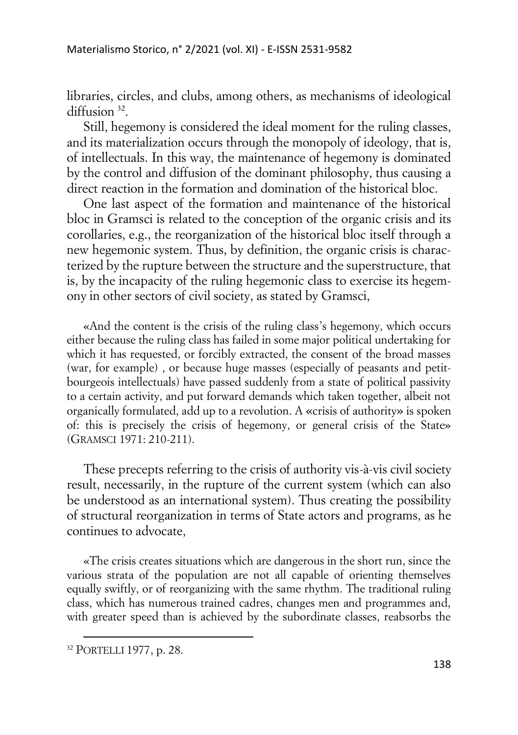libraries, circles, and clubs, among others, as mechanisms of ideological diffusion<sup>32</sup>.

Still, hegemony is considered the ideal moment for the ruling classes, and its materialization occurs through the monopoly of ideology, that is, of intellectuals. In this way, the maintenance of hegemony is dominated by the control and diffusion of the dominant philosophy, thus causing a direct reaction in the formation and domination of the historical bloc.

One last aspect of the formation and maintenance of the historical bloc in Gramsci is related to the conception of the organic crisis and its corollaries, e.g., the reorganization of the historical bloc itself through a new hegemonic system. Thus, by definition, the organic crisis is characterized by the rupture between the structure and the superstructure, that is, by the incapacity of the ruling hegemonic class to exercise its hegemony in other sectors of civil society, as stated by Gramsci,

«And the content is the crisis of the ruling class's hegemony, which occurs either because the ruling class has failed in some major political undertaking for which it has requested, or forcibly extracted, the consent of the broad masses (war, for example) , or because huge masses (especially of peasants and petitbourgeois intellectuals) have passed suddenly from a state of political passivity to a certain activity, and put forward demands which taken together, albeit not organically formulated, add up to a revolution. A «crisis of authority» is spoken of: this is precisely the crisis of hegemony, or general crisis of the State» (GRAMSCI 1971: 210-211).

These precepts referring to the crisis of authority vis-à-vis civil society result, necessarily, in the rupture of the current system (which can also be understood as an international system). Thus creating the possibility of structural reorganization in terms of State actors and programs, as he continues to advocate,

«The crisis creates situations which are dangerous in the short run, since the various strata of the population are not all capable of orienting themselves equally swiftly, or of reorganizing with the same rhythm. The traditional ruling class, which has numerous trained cadres, changes men and programmes and, with greater speed than is achieved by the subordinate classes, reabsorbs the

<sup>32</sup> PORTELLI 1977, p. 28.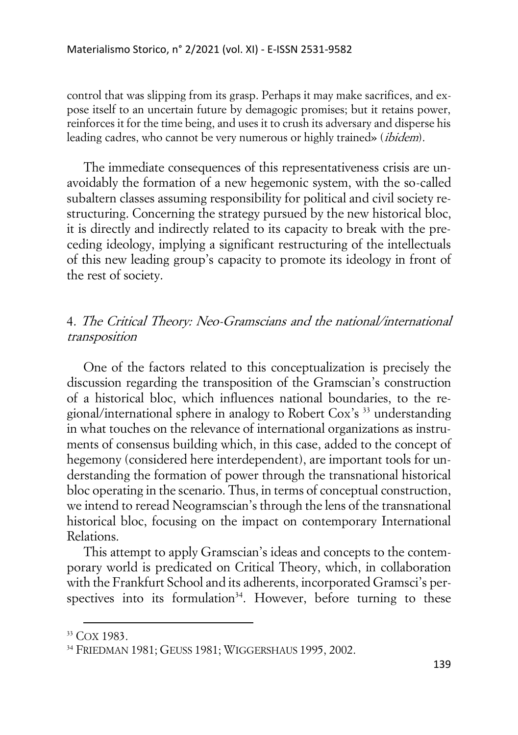control that was slipping from its grasp. Perhaps it may make sacrifices, and expose itself to an uncertain future by demagogic promises; but it retains power, reinforces it for the time being, and uses it to crush its adversary and disperse his leading cadres, who cannot be very numerous or highly trained» (*ibidem*).

The immediate consequences of this representativeness crisis are unavoidably the formation of a new hegemonic system, with the so-called subaltern classes assuming responsibility for political and civil society restructuring. Concerning the strategy pursued by the new historical bloc, it is directly and indirectly related to its capacity to break with the preceding ideology, implying a significant restructuring of the intellectuals of this new leading group's capacity to promote its ideology in front of the rest of society.

# 4. The Critical Theory: Neo-Gramscians and the national/international transposition

One of the factors related to this conceptualization is precisely the discussion regarding the transposition of the Gramscian's construction of a historical bloc, which influences national boundaries, to the regional/international sphere in analogy to Robert Cox's <sup>33</sup> understanding in what touches on the relevance of international organizations as instruments of consensus building which, in this case, added to the concept of hegemony (considered here interdependent), are important tools for understanding the formation of power through the transnational historical bloc operating in the scenario. Thus, in terms of conceptual construction, we intend to reread Neogramscian's through the lens of the transnational historical bloc, focusing on the impact on contemporary International Relations.

This attempt to apply Gramscian's ideas and concepts to the contemporary world is predicated on Critical Theory, which, in collaboration with the Frankfurt School and its adherents, incorporated Gramsci's perspectives into its formulation<sup>34</sup>. However, before turning to these

<sup>33</sup> COX 1983.

<sup>34</sup> FRIEDMAN 1981; GEUSS 1981; WIGGERSHAUS 1995, 2002.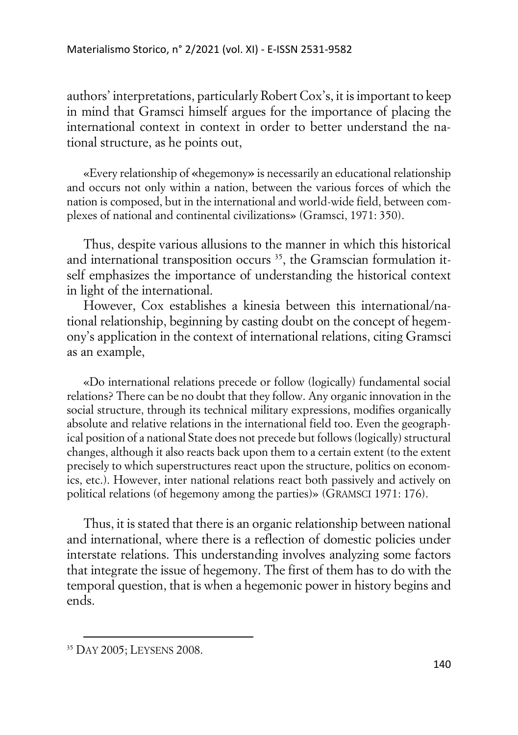authors' interpretations, particularly Robert Cox's, it is important to keep in mind that Gramsci himself argues for the importance of placing the international context in context in order to better understand the national structure, as he points out,

«Every relationship of «hegemony» is necessarily an educational relationship and occurs not only within a nation, between the various forces of which the nation is composed, but in the international and world-wide field, between complexes of national and continental civilizations» (Gramsci, 1971: 350).

Thus, despite various allusions to the manner in which this historical and international transposition occurs  $35$ , the Gramscian formulation itself emphasizes the importance of understanding the historical context in light of the international.

However, Cox establishes a kinesia between this international/national relationship, beginning by casting doubt on the concept of hegemony's application in the context of international relations, citing Gramsci as an example,

«Do international relations precede or follow (logically) fundamental social relations? There can be no doubt that they follow. Any organic innovation in the social structure, through its technical military expressions, modifies organically absolute and relative relations in the international field too. Even the geographical position of a national State does not precede but follows (logically) structural changes, although it also reacts back upon them to a certain extent (to the extent precisely to which superstructures react upon the structure, politics on economics, etc.). However, inter national relations react both passively and actively on political relations (of hegemony among the parties)» (GRAMSCI 1971: 176).

Thus, it is stated that there is an organic relationship between national and international, where there is a reflection of domestic policies under interstate relations. This understanding involves analyzing some factors that integrate the issue of hegemony. The first of them has to do with the temporal question, that is when a hegemonic power in history begins and ends.

<sup>35</sup> DAY 2005; LEYSENS 2008.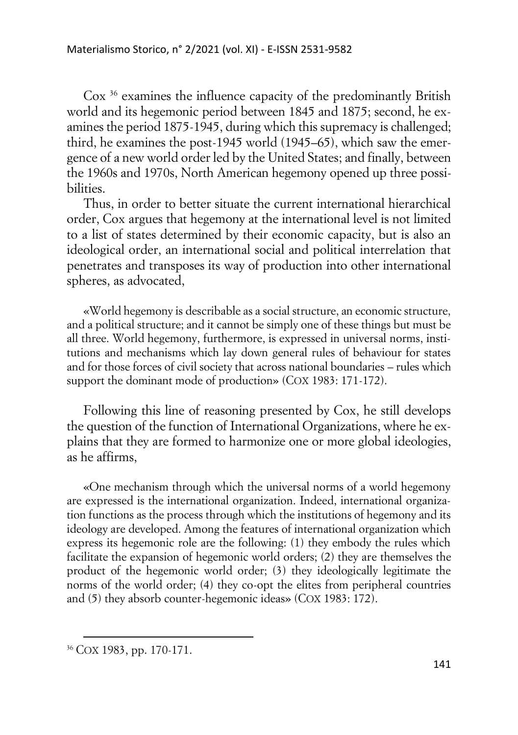Cox <sup>36</sup> examines the influence capacity of the predominantly British world and its hegemonic period between 1845 and 1875; second, he examines the period 1875-1945, during which this supremacy is challenged; third, he examines the post-1945 world (1945–65), which saw the emergence of a new world order led by the United States; and finally, between the 1960s and 1970s, North American hegemony opened up three possibilities.

Thus, in order to better situate the current international hierarchical order, Cox argues that hegemony at the international level is not limited to a list of states determined by their economic capacity, but is also an ideological order, an international social and political interrelation that penetrates and transposes its way of production into other international spheres, as advocated,

«World hegemony is describable as a social structure, an economic structure, and a political structure; and it cannot be simply one of these things but must be all three. World hegemony, furthermore, is expressed in universal norms, institutions and mechanisms which lay down general rules of behaviour for states and for those forces of civil society that across national boundaries – rules which support the dominant mode of production» (COX 1983: 171-172).

Following this line of reasoning presented by Cox, he still develops the question of the function of International Organizations, where he explains that they are formed to harmonize one or more global ideologies, as he affirms,

«One mechanism through which the universal norms of a world hegemony are expressed is the international organization. Indeed, international organization functions as the process through which the institutions of hegemony and its ideology are developed. Among the features of international organization which express its hegemonic role are the following: (1) they embody the rules which facilitate the expansion of hegemonic world orders; (2) they are themselves the product of the hegemonic world order; (3) they ideologically legitimate the norms of the world order; (4) they co-opt the elites from peripheral countries and (5) they absorb counter-hegemonic ideas» (COX 1983: 172).

<sup>36</sup> COX 1983, pp. 170-171.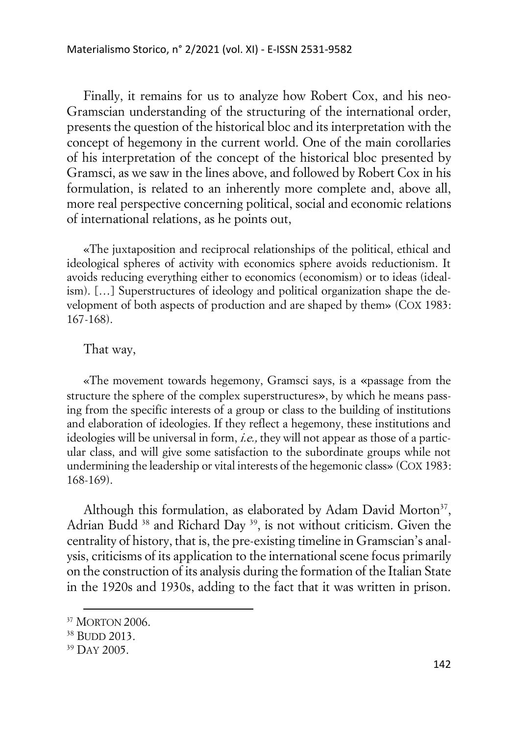Finally, it remains for us to analyze how Robert Cox, and his neo-Gramscian understanding of the structuring of the international order, presents the question of the historical bloc and its interpretation with the concept of hegemony in the current world. One of the main corollaries of his interpretation of the concept of the historical bloc presented by Gramsci, as we saw in the lines above, and followed by Robert Cox in his formulation, is related to an inherently more complete and, above all, more real perspective concerning political, social and economic relations of international relations, as he points out,

«The juxtaposition and reciprocal relationships of the political, ethical and ideological spheres of activity with economics sphere avoids reductionism. It avoids reducing everything either to economics (economism) or to ideas (idealism). […] Superstructures of ideology and political organization shape the development of both aspects of production and are shaped by them» (COX 1983: 167-168).

### That way,

«The movement towards hegemony, Gramsci says, is a «passage from the structure the sphere of the complex superstructures», by which he means passing from the specific interests of a group or class to the building of institutions and elaboration of ideologies. If they reflect a hegemony, these institutions and ideologies will be universal in form, *i.e.*, they will not appear as those of a particular class, and will give some satisfaction to the subordinate groups while not undermining the leadership or vital interests of the hegemonic class» (COX 1983: 168-169).

Although this formulation, as elaborated by Adam David Morton $37$ , Adrian Budd<sup>38</sup> and Richard Day<sup>39</sup>, is not without criticism. Given the centrality of history, that is, the pre-existing timeline in Gramscian's analysis, criticisms of its application to the international scene focus primarily on the construction of its analysis during the formation of the Italian State in the 1920s and 1930s, adding to the fact that it was written in prison.

<sup>37</sup> MORTON 2006.

<sup>38</sup> BUDD 2013.

<sup>39</sup> DAY 2005.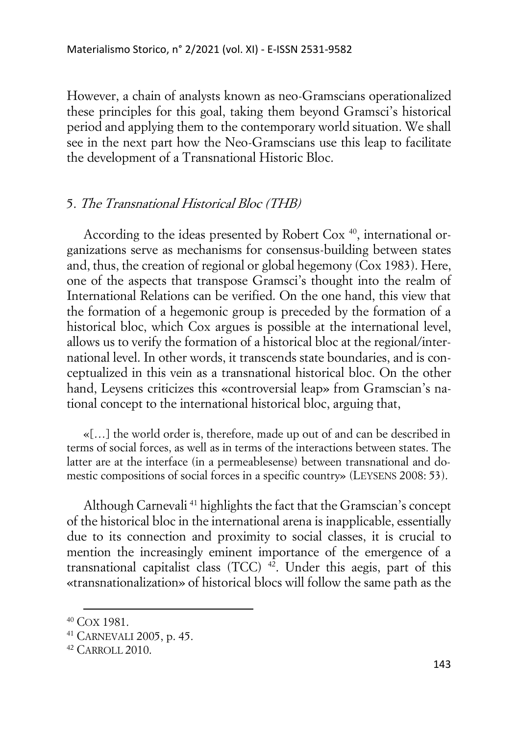However, a chain of analysts known as neo-Gramscians operationalized these principles for this goal, taking them beyond Gramsci's historical period and applying them to the contemporary world situation. We shall see in the next part how the Neo-Gramscians use this leap to facilitate the development of a Transnational Historic Bloc.

## 5. The Transnational Historical Bloc (THB)

According to the ideas presented by Robert Cox<sup>40</sup>, international organizations serve as mechanisms for consensus-building between states and, thus, the creation of regional or global hegemony (Cox 1983). Here, one of the aspects that transpose Gramsci's thought into the realm of International Relations can be verified. On the one hand, this view that the formation of a hegemonic group is preceded by the formation of a historical bloc, which Cox argues is possible at the international level, allows us to verify the formation of a historical bloc at the regional/international level. In other words, it transcends state boundaries, and is conceptualized in this vein as a transnational historical bloc. On the other hand, Leysens criticizes this «controversial leap» from Gramscian's national concept to the international historical bloc, arguing that,

«[…] the world order is, therefore, made up out of and can be described in terms of social forces, as well as in terms of the interactions between states. The latter are at the interface (in a permeablesense) between transnational and domestic compositions of social forces in a specific country» (LEYSENS 2008: 53).

Although Carnevali <sup>41</sup> highlights the fact that the Gramscian's concept of the historical bloc in the international arena is inapplicable, essentially due to its connection and proximity to social classes, it is crucial to mention the increasingly eminent importance of the emergence of a transnational capitalist class  $(TCC)$ <sup>42</sup>. Under this aegis, part of this «transnationalization» of historical blocs will follow the same path as the

<sup>40</sup> COX 1981.

<sup>41</sup> CARNEVALI 2005, p. 45.

<sup>42</sup> CARROLL 2010.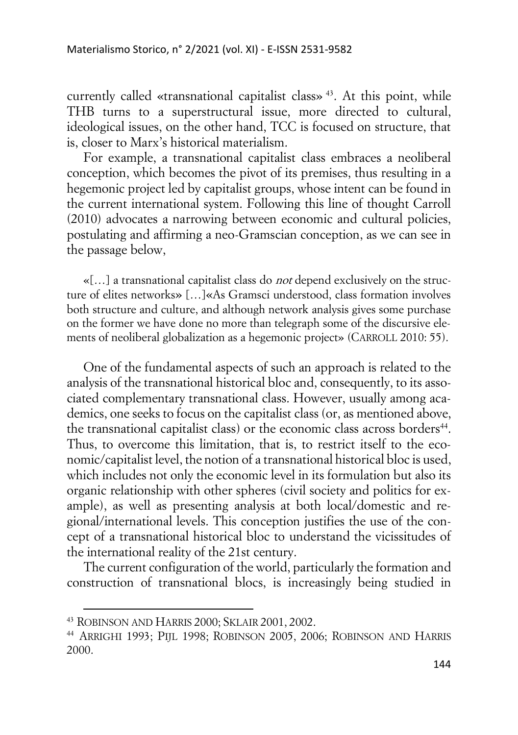currently called «transnational capitalist class» <sup>43</sup>. At this point, while THB turns to a superstructural issue, more directed to cultural, ideological issues, on the other hand, TCC is focused on structure, that is, closer to Marx's historical materialism.

For example, a transnational capitalist class embraces a neoliberal conception, which becomes the pivot of its premises, thus resulting in a hegemonic project led by capitalist groups, whose intent can be found in the current international system. Following this line of thought Carroll (2010) advocates a narrowing between economic and cultural policies, postulating and affirming a neo-Gramscian conception, as we can see in the passage below,

 $\mathcal{L}$ [...] a transnational capitalist class do *not* depend exclusively on the structure of elites networks» […]«As Gramsci understood, class formation involves both structure and culture, and although network analysis gives some purchase on the former we have done no more than telegraph some of the discursive elements of neoliberal globalization as a hegemonic project» (CARROLL 2010: 55).

One of the fundamental aspects of such an approach is related to the analysis of the transnational historical bloc and, consequently, to its associated complementary transnational class. However, usually among academics, one seeks to focus on the capitalist class (or, as mentioned above, the transnational capitalist class) or the economic class across borders<sup>44</sup>. Thus, to overcome this limitation, that is, to restrict itself to the economic/capitalist level, the notion of a transnational historical bloc is used, which includes not only the economic level in its formulation but also its organic relationship with other spheres (civil society and politics for example), as well as presenting analysis at both local/domestic and regional/international levels. This conception justifies the use of the concept of a transnational historical bloc to understand the vicissitudes of the international reality of the 21st century.

The current configuration of the world, particularly the formation and construction of transnational blocs, is increasingly being studied in

<sup>43</sup> ROBINSON AND HARRIS 2000; SKLAIR 2001, 2002.

<sup>44</sup> ARRIGHI 1993; PIJL 1998; ROBINSON 2005, 2006; ROBINSON AND HARRIS 2000.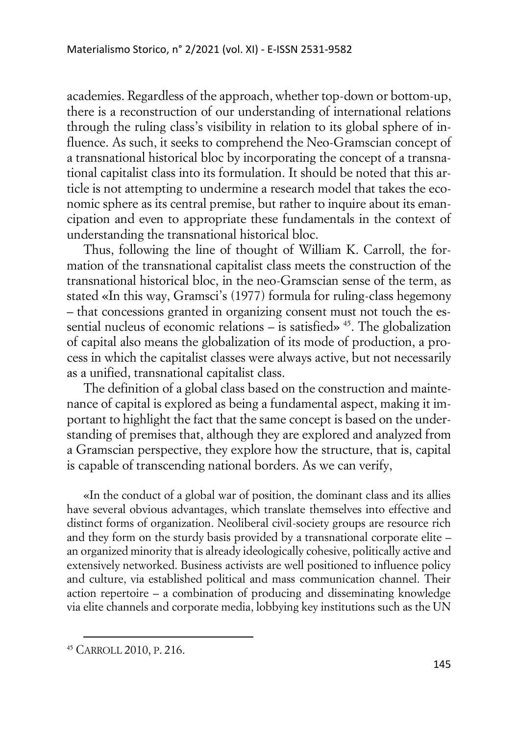academies. Regardless of the approach, whether top-down or bottom-up, there is a reconstruction of our understanding of international relations through the ruling class's visibility in relation to its global sphere of influence. As such, it seeks to comprehend the Neo-Gramscian concept of a transnational historical bloc by incorporating the concept of a transnational capitalist class into its formulation. It should be noted that this article is not attempting to undermine a research model that takes the economic sphere as its central premise, but rather to inquire about its emancipation and even to appropriate these fundamentals in the context of understanding the transnational historical bloc.

Thus, following the line of thought of William K. Carroll, the formation of the transnational capitalist class meets the construction of the transnational historical bloc, in the neo-Gramscian sense of the term, as stated «In this way, Gramsci's (1977) formula for ruling-class hegemony – that concessions granted in organizing consent must not touch the essential nucleus of economic relations – is satisfied»  $45$ . The globalization of capital also means the globalization of its mode of production, a process in which the capitalist classes were always active, but not necessarily as a unified, transnational capitalist class.

The definition of a global class based on the construction and maintenance of capital is explored as being a fundamental aspect, making it important to highlight the fact that the same concept is based on the understanding of premises that, although they are explored and analyzed from a Gramscian perspective, they explore how the structure, that is, capital is capable of transcending national borders. As we can verify,

«In the conduct of a global war of position, the dominant class and its allies have several obvious advantages, which translate themselves into effective and distinct forms of organization. Neoliberal civil-society groups are resource rich and they form on the sturdy basis provided by a transnational corporate elite – an organized minority that is already ideologically cohesive, politically active and extensively networked. Business activists are well positioned to influence policy and culture, via established political and mass communication channel. Their action repertoire – a combination of producing and disseminating knowledge via elite channels and corporate media, lobbying key institutions such as the UN

<sup>45</sup> CARROLL 2010, P. 216.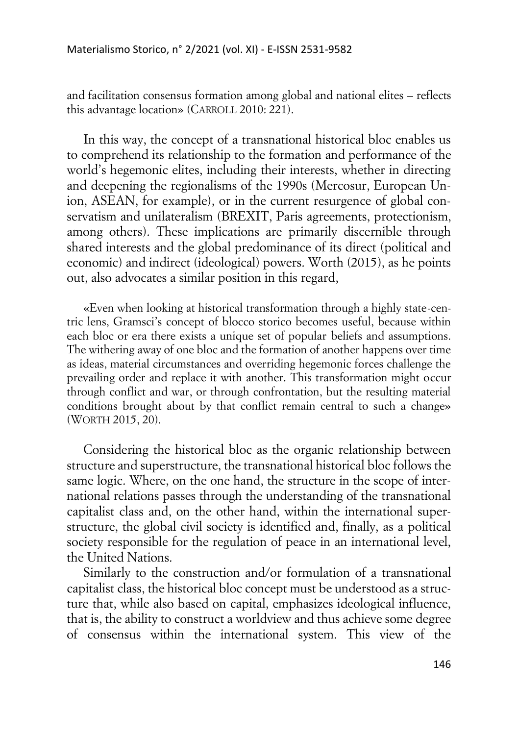and facilitation consensus formation among global and national elites – reflects this advantage location» (CARROLL 2010: 221).

In this way, the concept of a transnational historical bloc enables us to comprehend its relationship to the formation and performance of the world's hegemonic elites, including their interests, whether in directing and deepening the regionalisms of the 1990s (Mercosur, European Union, ASEAN, for example), or in the current resurgence of global conservatism and unilateralism (BREXIT, Paris agreements, protectionism, among others). These implications are primarily discernible through shared interests and the global predominance of its direct (political and economic) and indirect (ideological) powers. Worth (2015), as he points out, also advocates a similar position in this regard,

«Even when looking at historical transformation through a highly state-centric lens, Gramsci's concept of blocco storico becomes useful, because within each bloc or era there exists a unique set of popular beliefs and assumptions. The withering away of one bloc and the formation of another happens over time as ideas, material circumstances and overriding hegemonic forces challenge the prevailing order and replace it with another. This transformation might occur through conflict and war, or through confrontation, but the resulting material conditions brought about by that conflict remain central to such a change» (WORTH 2015, 20).

Considering the historical bloc as the organic relationship between structure and superstructure, the transnational historical bloc follows the same logic. Where, on the one hand, the structure in the scope of international relations passes through the understanding of the transnational capitalist class and, on the other hand, within the international superstructure, the global civil society is identified and, finally, as a political society responsible for the regulation of peace in an international level, the United Nations.

Similarly to the construction and/or formulation of a transnational capitalist class, the historical bloc concept must be understood as a structure that, while also based on capital, emphasizes ideological influence, that is, the ability to construct a worldview and thus achieve some degree of consensus within the international system. This view of the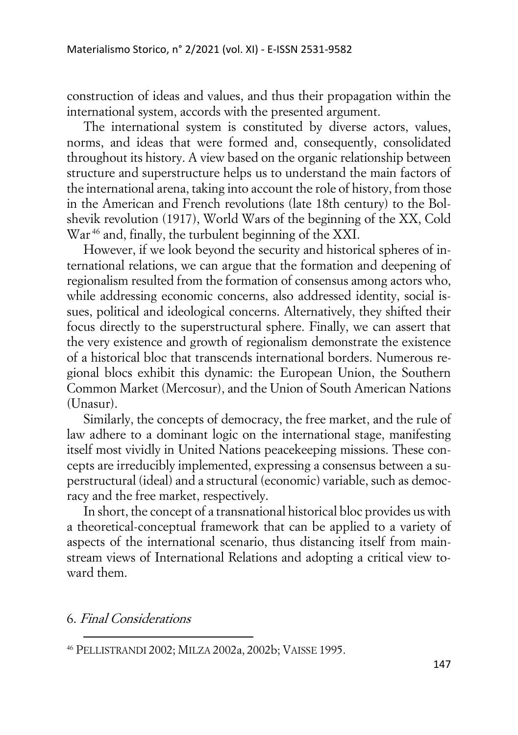construction of ideas and values, and thus their propagation within the international system, accords with the presented argument.

The international system is constituted by diverse actors, values, norms, and ideas that were formed and, consequently, consolidated throughout its history. A view based on the organic relationship between structure and superstructure helps us to understand the main factors of the international arena, taking into account the role of history, from those in the American and French revolutions (late 18th century) to the Bolshevik revolution (1917), World Wars of the beginning of the XX, Cold War<sup>46</sup> and, finally, the turbulent beginning of the XXI.

However, if we look beyond the security and historical spheres of international relations, we can argue that the formation and deepening of regionalism resulted from the formation of consensus among actors who, while addressing economic concerns, also addressed identity, social issues, political and ideological concerns. Alternatively, they shifted their focus directly to the superstructural sphere. Finally, we can assert that the very existence and growth of regionalism demonstrate the existence of a historical bloc that transcends international borders. Numerous regional blocs exhibit this dynamic: the European Union, the Southern Common Market (Mercosur), and the Union of South American Nations (Unasur).

Similarly, the concepts of democracy, the free market, and the rule of law adhere to a dominant logic on the international stage, manifesting itself most vividly in United Nations peacekeeping missions. These concepts are irreducibly implemented, expressing a consensus between a superstructural (ideal) and a structural (economic) variable, such as democracy and the free market, respectively.

In short, the concept of a transnational historical bloc provides us with a theoretical-conceptual framework that can be applied to a variety of aspects of the international scenario, thus distancing itself from mainstream views of International Relations and adopting a critical view toward them.

6. Final Considerations

<sup>46</sup> PELLISTRANDI 2002; MILZA 2002a, 2002b; VAISSE 1995.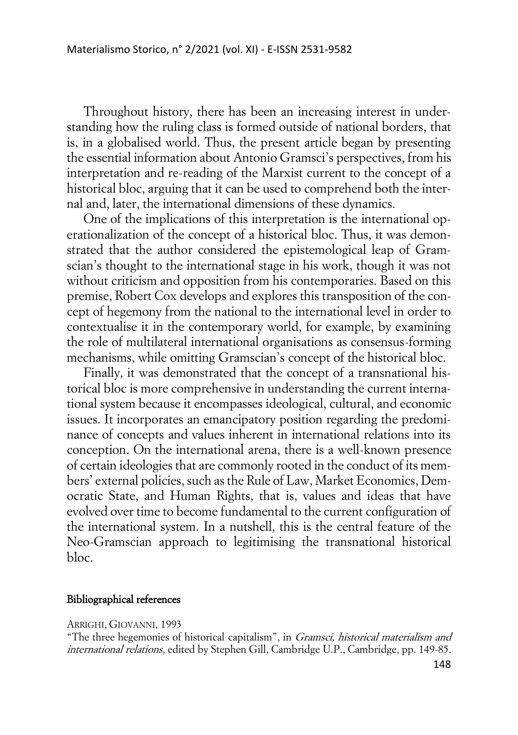Throughout history, there has been an increasing interest in understanding how the ruling class is formed outside of national borders, that is, in a globalised world. Thus, the present article began by presenting the essential information about Antonio Gramsci's perspectives, from his interpretation and re-reading of the Marxist current to the concept of a historical bloc, arguing that it can be used to comprehend both the internal and, later, the international dimensions of these dynamics.

One of the implications of this interpretation is the international operationalization of the concept of a historical bloc. Thus, it was demonstrated that the author considered the epistemological leap of Gramscian's thought to the international stage in his work, though it was not without criticism and opposition from his contemporaries. Based on this premise, Robert Cox develops and explores this transposition of the concept of hegemony from the national to the international level in order to contextualise it in the contemporary world, for example, by examining the role of multilateral international organisations as consensus-forming mechanisms, while omitting Gramscian's concept of the historical bloc.

Finally, it was demonstrated that the concept of a transnational historical bloc is more comprehensive in understanding the current international system because it encompasses ideological, cultural, and economic issues. It incorporates an emancipatory position regarding the predominance of concepts and values inherent in international relations into its conception. On the international arena, there is a well-known presence of certain ideologies that are commonly rooted in the conduct of its members' external policies, such as the Rule of Law, Market Economics, Democratic State, and Human Rights, that is, values and ideas that have evolved over time to become fundamental to the current configuration of the international system. In a nutshell, this is the central feature of the Neo-Gramscian approach to legitimising the transnational historical bloc.

#### Bibliographical references

#### ARRIGHI, GIOVANNI, 1993

"The three hegemonies of historical capitalism", in Gramsci, historical materialism and international relations, edited by Stephen Gill, Cambridge U.P., Cambridge, pp. 149-85.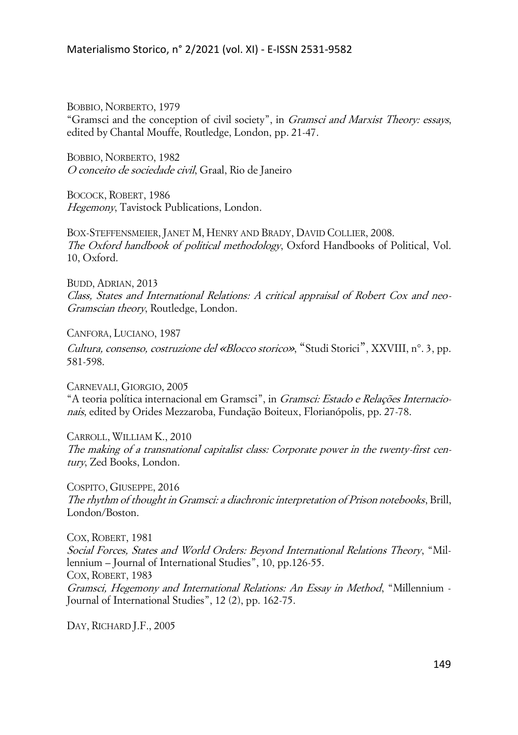BOBBIO, NORBERTO, 1979 "Gramsci and the conception of civil society", in Gramsci and Marxist Theory: essays, edited by Chantal Mouffe, Routledge, London, pp. 21-47.

BOBBIO, NORBERTO, 1982 O conceito de sociedade civil, Graal, Rio de Janeiro

BOCOCK, ROBERT, 1986 Hegemony, Tavistock Publications, London.

BOX-STEFFENSMEIER, JANET M, HENRY AND BRADY, DAVID COLLIER, 2008. The Oxford handbook of political methodology, Oxford Handbooks of Political, Vol. 10, Oxford.

BUDD, ADRIAN, 2013 Class, States and International Relations: A critical appraisal of Robert Cox and neo-Gramscian theory, Routledge, London.

CANFORA, LUCIANO, 1987

Cultura, consenso, costruzione del «Blocco storico», "Studi Storici", XXVIII, n°. 3, pp. 581-598.

CARNEVALI, GIORGIO, 2005 "A teoria política internacional em Gramsci", in Gramsci: Estado e Relações Internacionais, edited by Orides Mezzaroba, Fundação Boiteux, Florianópolis, pp. 27-78.

CARROLL, WILLIAM K., 2010 The making of a transnational capitalist class: Corporate power in the twenty-first century, Zed Books, London.

COSPITO, GIUSEPPE, 2016 The rhythm of thought in Gramsci: a diachronic interpretation of Prison notebooks, Brill, London/Boston.

COX, ROBERT, 1981 Social Forces, States and World Orders: Beyond International Relations Theory, "Millennium – Journal of International Studies", 10, pp.126-55. COX, ROBERT, 1983 Gramsci, Hegemony and International Relations: An Essay in Method, "Millennium - Journal of International Studies", 12 (2), pp. 162-75.

DAY, RICHARD J.F., 2005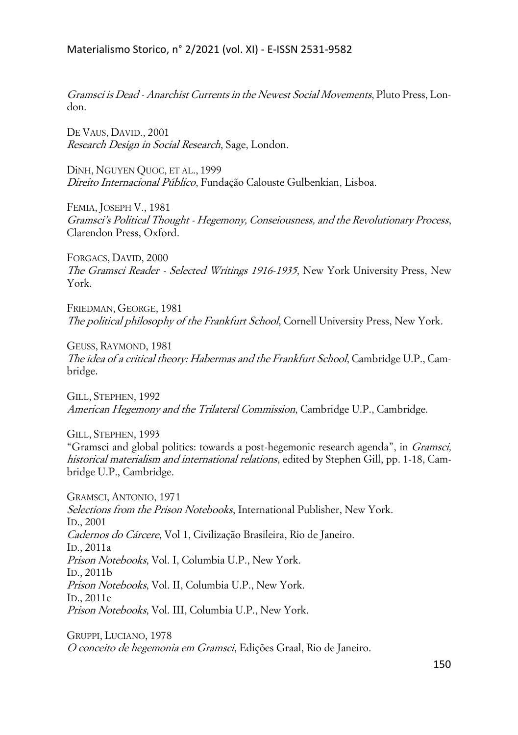### Materialismo Storico, n° 2/2021 (vol. XI) - E-ISSN 2531-9582

Gramsci is Dead - Anarchist Currents in the Newest Social Movements, Pluto Press, London.

DE VAUS, DAVID., 2001 Research Design in Social Research, Sage, London.

DiNH, NGUYEN QUOC, ET AL., 1999 Direito Internacional Público, Fundação Calouste Gulbenkian, Lisboa.

FEMIA, JOSEPH V., 1981 Gramsci's Political Thought - Hegemony, Conseiousness, and the Revolutionary Process, Clarendon Press, Oxford.

FORGACS, DAVID, 2000 The Gramsci Reader - Selected Writings 1916-1935, New York University Press, New York.

FRIEDMAN, GEORGE, 1981 The political philosophy of the Frankfurt School, Cornell University Press, New York.

GEUSS, RAYMOND, 1981 The idea of a critical theory: Habermas and the Frankfurt School, Cambridge U.P., Cambridge.

GILL, STEPHEN, 1992 American Hegemony and the Trilateral Commission, Cambridge U.P., Cambridge.

GILL, STEPHEN, 1993

"Gramsci and global politics: towards a post-hegemonic research agenda", in Gramsci, historical materialism and international relations, edited by Stephen Gill, pp. 1-18, Cambridge U.P., Cambridge.

GRAMSCI, ANTONIO, 1971 Selections from the Prison Notebooks, International Publisher, New York. ID., 2001 Cadernos do Cárcere, Vol 1, Civilização Brasileira, Rio de Janeiro. ID., 2011a Prison Notebooks, Vol. I, Columbia U.P., New York. ID., 2011b Prison Notebooks, Vol. II, Columbia U.P., New York. ID., 2011c Prison Notebooks, Vol. III, Columbia U.P., New York.

GRUPPI, LUCIANO, 1978 O conceito de hegemonia em Gramsci, Edições Graal, Rio de Janeiro.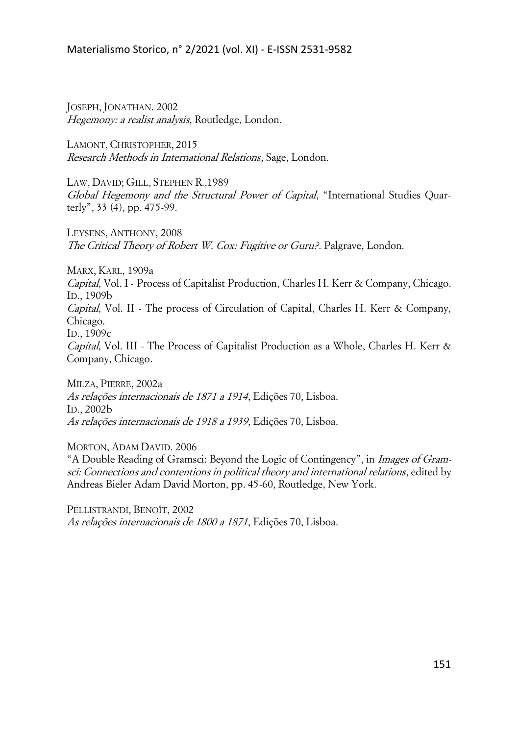JOSEPH, JONATHAN. 2002 Hegemony: a realist analysis, Routledge, London.

LAMONT, CHRISTOPHER, 2015 Research Methods in International Relations, Sage, London.

LAW, DAVID; GILL, STEPHEN R.,1989 Global Hegemony and the Structural Power of Capital, "International Studies Quarterly", 33 (4), pp. 475-99.

LEYSENS, ANTHONY, 2008 The Critical Theory of Robert W. Cox: Fugitive or Guru?. Palgrave, London.

MARX, KARL, 1909a

Capital, Vol. I - Process of Capitalist Production, Charles H. Kerr & Company, Chicago. ID., 1909b

Capital, Vol. II - The process of Circulation of Capital, Charles H. Kerr & Company, Chicago.

ID., 1909c

Capital, Vol. III - The Process of Capitalist Production as a Whole, Charles H. Kerr & Company, Chicago.

MILZA, PIERRE, 2002a As relações internacionais de 1871 a 1914, Edições 70, Lisboa. ID., 2002b As relações internacionais de 1918 a 1939, Edições 70, Lisboa.

MORTON, ADAM DAVID. 2006

"A Double Reading of Gramsci: Beyond the Logic of Contingency", in Images of Gramsci: Connections and contentions in political theory and international relations, edited by Andreas Bieler Adam David Morton, pp. 45-60, Routledge, New York.

PELLISTRANDI, BENOÎT, 2002 As relações internacionais de 1800 a 1871, Edições 70, Lisboa.